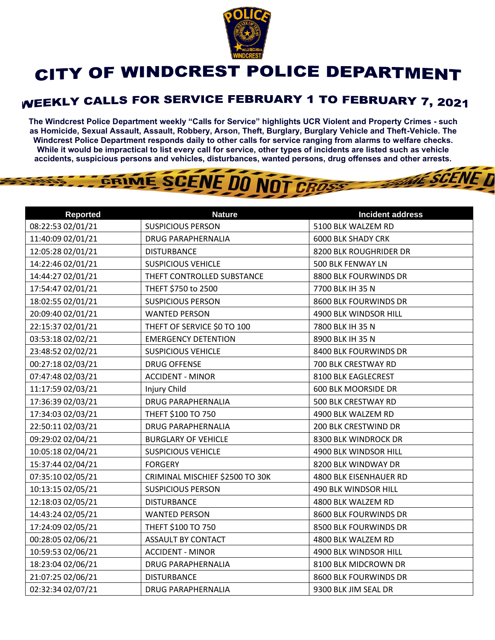

## CITY OF WINDCREST POLICE DEPARTMENT

## **WEEKLY CALLS FOR SERVICE FEBRUARY 1 TO FEBRUARY 7, 2021**

**The Windcrest Police Department weekly "Calls for Service" highlights UCR Violent and Property Crimes - such as Homicide, Sexual Assault, Assault, Robbery, Arson, Theft, Burglary, Burglary Vehicle and Theft-Vehicle. The Windcrest Police Department responds daily to other calls for service ranging from alarms to welfare checks. While it would be impractical to list every call for service, other types of incidents are listed such as vehicle accidents, suspicious persons and vehicles, disturbances, wanted persons, drug offenses and other arrests.** 

**THE SCENE D** 

## GRIME SCENE DO NOT CROSS

| <b>Reported</b>   | <b>Nature</b>                   | <b>Incident address</b>   |
|-------------------|---------------------------------|---------------------------|
| 08:22:53 02/01/21 | <b>SUSPICIOUS PERSON</b>        | 5100 BLK WALZEM RD        |
| 11:40:09 02/01/21 | <b>DRUG PARAPHERNALIA</b>       | <b>6000 BLK SHADY CRK</b> |
| 12:05:28 02/01/21 | <b>DISTURBANCE</b>              | 8200 BLK ROUGHRIDER DR    |
| 14:22:46 02/01/21 | <b>SUSPICIOUS VEHICLE</b>       | 500 BLK FENWAY LN         |
| 14:44:27 02/01/21 | THEFT CONTROLLED SUBSTANCE      | 8800 BLK FOURWINDS DR     |
| 17:54:47 02/01/21 | THEFT \$750 to 2500             | 7700 BLK IH 35 N          |
| 18:02:55 02/01/21 | <b>SUSPICIOUS PERSON</b>        | 8600 BLK FOURWINDS DR     |
| 20:09:40 02/01/21 | <b>WANTED PERSON</b>            | 4900 BLK WINDSOR HILL     |
| 22:15:37 02/01/21 | THEFT OF SERVICE \$0 TO 100     | 7800 BLK IH 35 N          |
| 03:53:18 02/02/21 | <b>EMERGENCY DETENTION</b>      | 8900 BLK IH 35 N          |
| 23:48:52 02/02/21 | <b>SUSPICIOUS VEHICLE</b>       | 8400 BLK FOURWINDS DR     |
| 00:27:18 02/03/21 | <b>DRUG OFFENSE</b>             | 700 BLK CRESTWAY RD       |
| 07:47:48 02/03/21 | <b>ACCIDENT - MINOR</b>         | 8100 BLK EAGLECREST       |
| 11:17:59 02/03/21 | Injury Child                    | 600 BLK MOORSIDE DR       |
| 17:36:39 02/03/21 | <b>DRUG PARAPHERNALIA</b>       | 500 BLK CRESTWAY RD       |
| 17:34:03 02/03/21 | THEFT \$100 TO 750              | 4900 BLK WALZEM RD        |
| 22:50:11 02/03/21 | <b>DRUG PARAPHERNALIA</b>       | 200 BLK CRESTWIND DR      |
| 09:29:02 02/04/21 | <b>BURGLARY OF VEHICLE</b>      | 8300 BLK WINDROCK DR      |
| 10:05:18 02/04/21 | <b>SUSPICIOUS VEHICLE</b>       | 4900 BLK WINDSOR HILL     |
| 15:37:44 02/04/21 | <b>FORGERY</b>                  | 8200 BLK WINDWAY DR       |
| 07:35:10 02/05/21 | CRIMINAL MISCHIEF \$2500 TO 30K | 4800 BLK EISENHAUER RD    |
| 10:13:15 02/05/21 | <b>SUSPICIOUS PERSON</b>        | 490 BLK WINDSOR HILL      |
| 12:18:03 02/05/21 | <b>DISTURBANCE</b>              | 4800 BLK WALZEM RD        |
| 14:43:24 02/05/21 | <b>WANTED PERSON</b>            | 8600 BLK FOURWINDS DR     |
| 17:24:09 02/05/21 | THEFT \$100 TO 750              | 8500 BLK FOURWINDS DR     |
| 00:28:05 02/06/21 | <b>ASSAULT BY CONTACT</b>       | 4800 BLK WALZEM RD        |
| 10:59:53 02/06/21 | <b>ACCIDENT - MINOR</b>         | 4900 BLK WINDSOR HILL     |
| 18:23:04 02/06/21 | <b>DRUG PARAPHERNALIA</b>       | 8100 BLK MIDCROWN DR      |
| 21:07:25 02/06/21 | <b>DISTURBANCE</b>              | 8600 BLK FOURWINDS DR     |
| 02:32:34 02/07/21 | <b>DRUG PARAPHERNALIA</b>       | 9300 BLK JIM SEAL DR      |